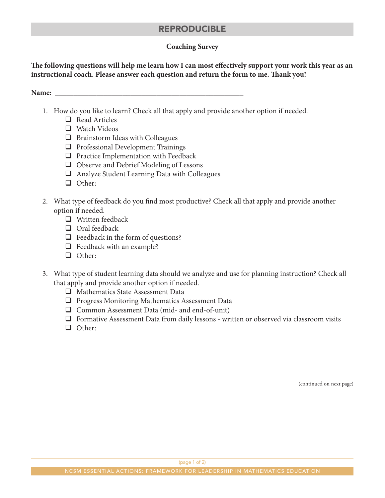# REPRODUCIBLE

### **Coaching Survey**

**The following questions will help me learn how I can most effectively support your work this year as an instructional coach. Please answer each question and return the form to me. Thank you!**

**Name: \_\_\_\_\_\_\_\_\_\_\_\_\_\_\_\_\_\_\_\_\_\_\_\_\_\_\_\_\_\_\_\_\_\_\_\_\_\_\_\_\_\_\_\_\_\_\_\_\_\_**

- 1. How do you like to learn? Check all that apply and provide another option if needed.
	- $\Box$  Read Articles
	- $\Box$  Watch Videos
	- $\Box$  Brainstorm Ideas with Colleagues
	- $\Box$  Professional Development Trainings
	- $\Box$  Practice Implementation with Feedback
	- $\Box$  Observe and Debrief Modeling of Lessons
	- $\Box$  Analyze Student Learning Data with Colleagues
	- □ Other:
- 2. What type of feedback do you find most productive? Check all that apply and provide another option if needed.
	- $\Box$  Written feedback
	- $\Box$  Oral feedback
	- $\Box$  Feedback in the form of questions?
	- $\Box$  Feedback with an example?
	- Other:
- 3. What type of student learning data should we analyze and use for planning instruction? Check all that apply and provide another option if needed.
	- $\Box$  Mathematics State Assessment Data
	- $\Box$  Progress Monitoring Mathematics Assessment Data
	- $\Box$  Common Assessment Data (mid- and end-of-unit)
	- $\Box$  Formative Assessment Data from daily lessons written or observed via classroom visits
	- □ Other:

(continued on next page)